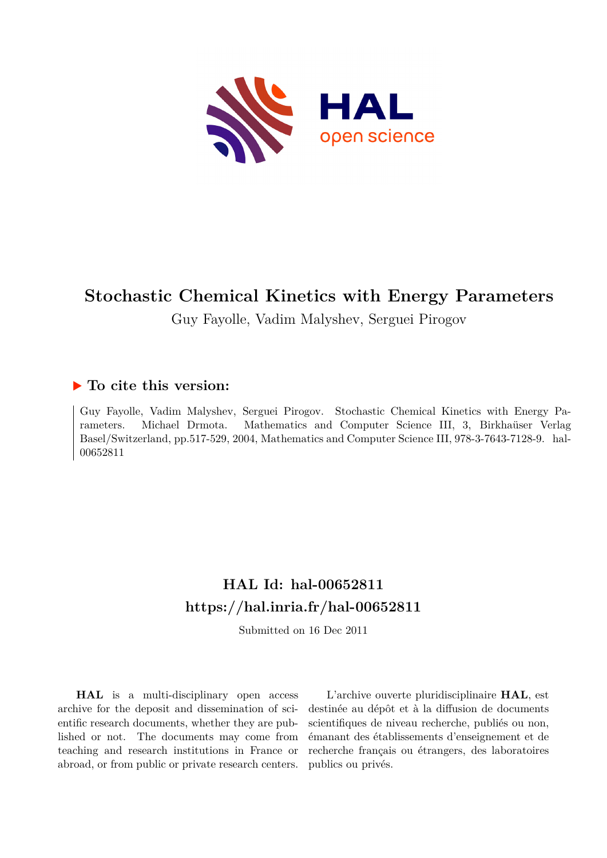

# **Stochastic Chemical Kinetics with Energy Parameters**

Guy Fayolle, Vadim Malyshev, Serguei Pirogov

## **To cite this version:**

Guy Fayolle, Vadim Malyshev, Serguei Pirogov. Stochastic Chemical Kinetics with Energy Parameters. Michael Drmota. Mathematics and Computer Science III, 3, Birkhaüser Verlag Basel/Switzerland, pp.517-529, 2004, Mathematics and Computer Science III, 978-3-7643-7128-9. hal-00652811

# **HAL Id: hal-00652811 <https://hal.inria.fr/hal-00652811>**

Submitted on 16 Dec 2011

**HAL** is a multi-disciplinary open access archive for the deposit and dissemination of scientific research documents, whether they are published or not. The documents may come from teaching and research institutions in France or abroad, or from public or private research centers.

L'archive ouverte pluridisciplinaire **HAL**, est destinée au dépôt et à la diffusion de documents scientifiques de niveau recherche, publiés ou non, émanant des établissements d'enseignement et de recherche français ou étrangers, des laboratoires publics ou privés.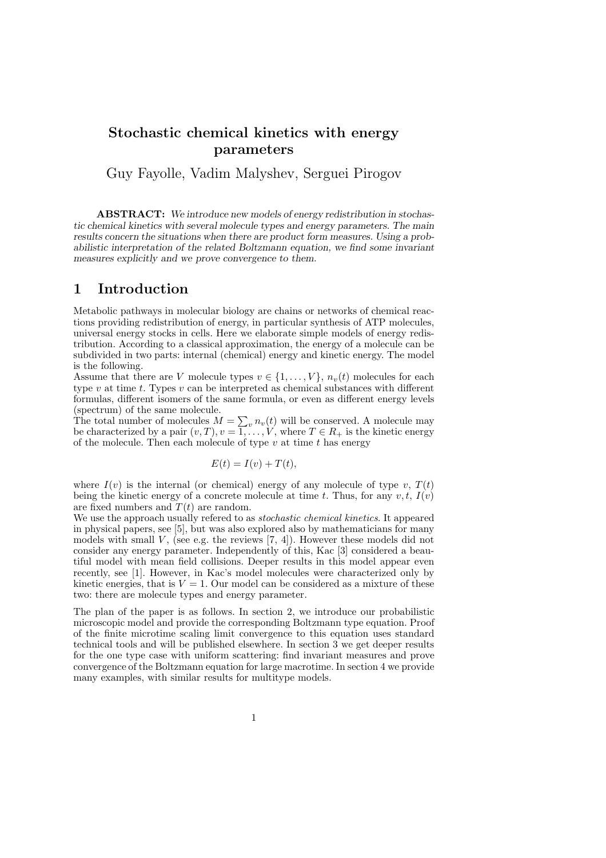## Stochastic chemical kinetics with energy parameters

Guy Fayolle, Vadim Malyshev, Serguei Pirogov

ABSTRACT: We introduce new models of energy redistribution in stochastic chemical kinetics with several molecule types and energy parameters. The main results concern the situations when there are product form measures. Using a probabilistic interpretation of the related Boltzmann equation, we find some invariant measures explicitly and we prove convergence to them.

### 1 Introduction

Metabolic pathways in molecular biology are chains or networks of chemical reactions providing redistribution of energy, in particular synthesis of ATP molecules, universal energy stocks in cells. Here we elaborate simple models of energy redistribution. According to a classical approximation, the energy of a molecule can be subdivided in two parts: internal (chemical) energy and kinetic energy. The model is the following.

Assume that there are V molecule types  $v \in \{1, \ldots, V\}$ ,  $n_v(t)$  molecules for each type  $v$  at time  $t$ . Types  $v$  can be interpreted as chemical substances with different formulas, different isomers of the same formula, or even as different energy levels (spectrum) of the same molecule.

The total number of molecules  $M = \sum_{v} n_v(t)$  will be conserved. A molecule may be characterized by a pair  $(v, T), v = 1, \ldots, V$ , where  $T \in R_+$  is the kinetic energy of the molecule. Then each molecule of type  $v$  at time  $t$  has energy

$$
E(t) = I(v) + T(t),
$$

where  $I(v)$  is the internal (or chemical) energy of any molecule of type v,  $T(t)$ being the kinetic energy of a concrete molecule at time t. Thus, for any  $v, t, I(v)$ are fixed numbers and  $T(t)$  are random.

We use the approach usually refered to as *stochastic chemical kinetics*. It appeared in physical papers, see [5], but was also explored also by mathematicians for many models with small  $V$ , (see e.g. the reviews [7, 4]). However these models did not consider any energy parameter. Independently of this, Kac [3] considered a beautiful model with mean field collisions. Deeper results in this model appear even recently, see [1]. However, in Kac's model molecules were characterized only by kinetic energies, that is  $V = 1$ . Our model can be considered as a mixture of these two: there are molecule types and energy parameter.

The plan of the paper is as follows. In section 2, we introduce our probabilistic microscopic model and provide the corresponding Boltzmann type equation. Proof of the finite microtime scaling limit convergence to this equation uses standard technical tools and will be published elsewhere. In section 3 we get deeper results for the one type case with uniform scattering: find invariant measures and prove convergence of the Boltzmann equation for large macrotime. In section 4 we provide many examples, with similar results for multitype models.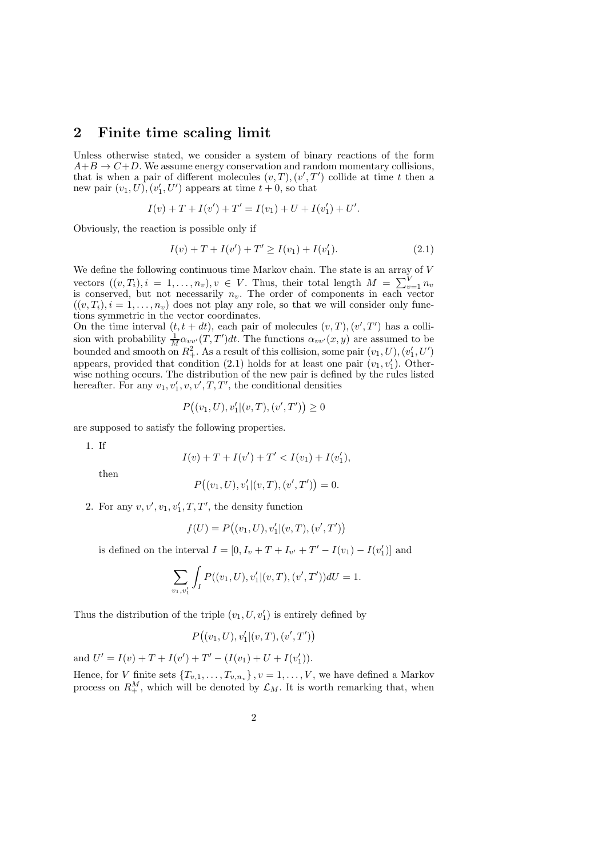## 2 Finite time scaling limit

Unless otherwise stated, we consider a system of binary reactions of the form  $A+B \rightarrow C+D$ . We assume energy conservation and random momentary collisions, that is when a pair of different molecules  $(v, T), (v', T')$  collide at time t then a new pair  $(v_1, U)$ ,  $(v'_1, U')$  appears at time  $t + 0$ , so that

$$
I(v) + T + I(v') + T' = I(v_1) + U + I(v'_1) + U'.
$$

Obviously, the reaction is possible only if

$$
I(v) + T + I(v') + T' \ge I(v_1) + I(v'_1). \tag{2.1}
$$

We define the following continuous time Markov chain. The state is an array of  ${\cal V}$ vectors  $((v, T_i), i = 1, \ldots, n_v), v \in V$ . Thus, their total length  $M = \sum_{v=1}^{V} n_v$ is conserved, but not necessarily  $n_v$ . The order of components in each vector  $((v, T_i), i = 1, \ldots, n_v)$  does not play any role, so that we will consider only functions symmetric in the vector coordinates.

On the time interval  $(t, t + dt)$ , each pair of molecules  $(v, T), (v', T')$  has a collision with probability  $\frac{1}{M} \alpha_{vv'}(T,T')dt$ . The functions  $\alpha_{vv'}(x,y)$  are assumed to be bounded and smooth on  $R_+^2$ . As a result of this collision, some pair  $(v_1, U), (v_1', U')$ appears, provided that condition (2.1) holds for at least one pair  $(v_1, v'_1)$ . Otherwise nothing occurs. The distribution of the new pair is defined by the rules listed hereafter. For any  $v_1, v'_1, v, v', T, T'$ , the conditional densities

$$
P((v_1, U), v'_1 | (v, T), (v', T')) \ge 0
$$

are supposed to satisfy the following properties.

1. If

$$
I(v) + T + I(v') + T' < I(v_1) + I(v'_1),
$$

then

$$
P((v_1, U), v'_1 | (v, T), (v', T')) = 0.
$$

2. For any  $v, v', v_1, v'_1, T, T'$ , the density function

$$
f(U) = P((v_1, U), v'_1 | (v, T), (v', T'))
$$

is defined on the interval  $I = [0, I_v + T + I_{v'} + T' - I(v_1) - I(v'_1)]$  and

$$
\sum_{v_1, v_1'} \int_I P((v_1, U), v_1' | (v, T), (v', T')) dU = 1.
$$

Thus the distribution of the triple  $(v_1, U, v'_1)$  is entirely defined by

$$
P((v_1, U), v'_1 | (v, T), (v', T'))
$$

and  $U' = I(v) + T + I(v') + T' - (I(v_1) + U + I(v'_1)).$ 

Hence, for V finite sets  $\{T_{v,1},\ldots,T_{v,n_v}\}, v=1,\ldots,V$ , we have defined a Markov process on  $R_+^M$ , which will be denoted by  $\mathcal{L}_M$ . It is worth remarking that, when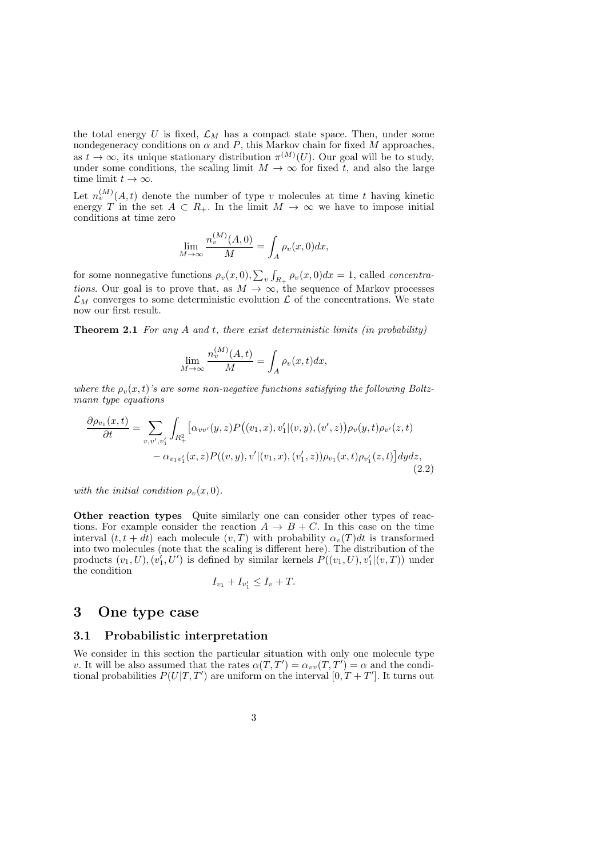the total energy  $U$  is fixed,  $\mathcal{L}_M$  has a compact state space. Then, under some nondegeneracy conditions on  $\alpha$  and  $P$ , this Markov chain for fixed  $M$  approaches, as  $t \to \infty$ , its unique stationary distribution  $\pi^{(M)}(U)$ . Our goal will be to study, under some conditions, the scaling limit  $M \to \infty$  for fixed t, and also the large time limit  $t \to \infty$ .

Let  $n_v^{(M)}(A,t)$  denote the number of type v molecules at time t having kinetic energy T in the set  $A \subset R_+$ . In the limit  $M \to \infty$  we have to impose initial conditions at time zero

$$
\lim_{M \to \infty} \frac{n_v^{(M)}(A,0)}{M} = \int_A \rho_v(x,0) dx,
$$

 $\lambda$  and  $\lambda$ 

for some nonnegative functions  $\rho_v(x,0), \sum_v \int_{R_+} \rho_v(x,0) dx = 1$ , called *concentra*tions. Our goal is to prove that, as  $M \to \infty$ , the sequence of Markov processes  $\mathcal{L}_M$  converges to some deterministic evolution  $\mathcal L$  of the concentrations. We state now our first result.

**Theorem 2.1** For any  $A$  and  $t$ , there exist deterministic limits (in probability)

$$
\lim_{M \to \infty} \frac{n_v^{(M)}(A, t)}{M} = \int_A \rho_v(x, t) dx,
$$

where the  $\rho_n(x,t)$ 's are some non-negative functions satisfying the following Boltzmann type equations

$$
\frac{\partial \rho_{v_1}(x,t)}{\partial t} = \sum_{v,v',v'_1} \int_{R_+^2} \left[ \alpha_{vv'}(y,z) P((v_1,x),v'_1|(v,y),(v',z)) \rho_v(y,t) \rho_{v'}(z,t) - \alpha_{v_1 v'_1}(x,z) P((v,y),v'|(v_1,x),(v'_1,z)) \rho_{v_1}(x,t) \rho_{v'_1}(z,t) \right] dy dz, \tag{2.2}
$$

with the initial condition  $\rho_v(x,0)$ .

Other reaction types Quite similarly one can consider other types of reactions. For example consider the reaction  $A \rightarrow B + C$ . In this case on the time interval  $(t, t + dt)$  each molecule  $(v, T)$  with probability  $\alpha_v(T)dt$  is transformed into two molecules (note that the scaling is different here). The distribution of the products  $(v_1, U), (v_1', U')$  is defined by similar kernels  $P((v_1, U), v_1' | (v, T))$  under the condition

$$
I_{v_1} + I_{v'_1} \le I_v + T.
$$

### 3 One type case

#### 3.1 Probabilistic interpretation

We consider in this section the particular situation with only one molecule type v. It will be also assumed that the rates  $\alpha(T, T') = \alpha_{vv}(T, T') = \alpha$  and the conditional probabilities  $P(U|T,T')$  are uniform on the interval  $[0,T+T']$ . It turns out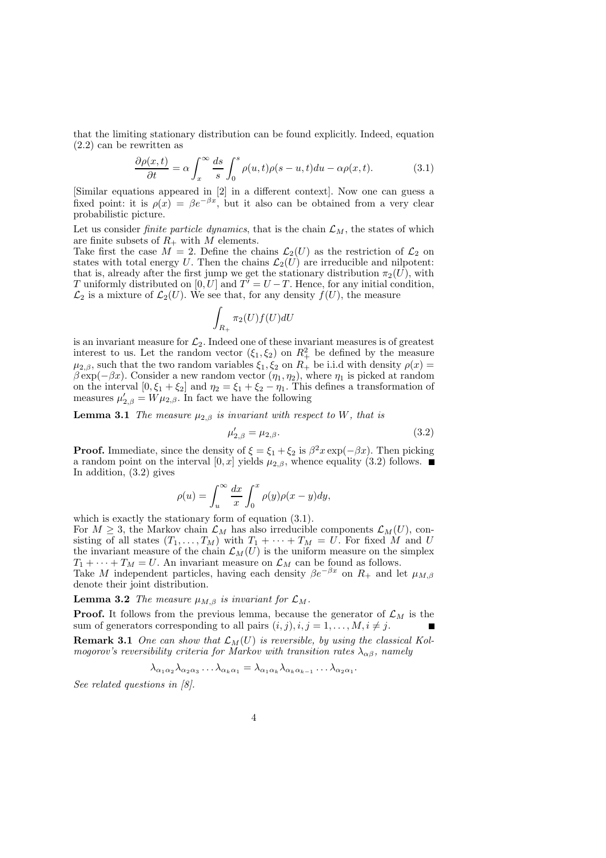that the limiting stationary distribution can be found explicitly. Indeed, equation (2.2) can be rewritten as

$$
\frac{\partial \rho(x,t)}{\partial t} = \alpha \int_x^{\infty} \frac{ds}{s} \int_0^s \rho(u,t)\rho(s-u,t)du - \alpha \rho(x,t). \tag{3.1}
$$

[Similar equations appeared in [2] in a different context]. Now one can guess a fixed point: it is  $\rho(x) = \beta e^{-\beta x}$ , but it also can be obtained from a very clear probabilistic picture.

Let us consider *finite particle dynamics*, that is the chain  $\mathcal{L}_M$ , the states of which are finite subsets of  $R_+$  with  $M$  elements.

Take first the case  $M = 2$ . Define the chains  $\mathcal{L}_2(U)$  as the restriction of  $\mathcal{L}_2$  on states with total energy U. Then the chains  $\mathcal{L}_2(U)$  are irreducible and nilpotent: that is, already after the first jump we get the stationary distribution  $\pi_2(U)$ , with T uniformly distributed on  $[0, U]$  and  $T' = U - T$ . Hence, for any initial condition,  $\mathcal{L}_2$  is a mixture of  $\mathcal{L}_2(U)$ . We see that, for any density  $f(U)$ , the measure

$$
\int_{R_+} \pi_2(U) f(U) dU
$$

is an invariant measure for  $\mathcal{L}_2$ . Indeed one of these invariant measures is of greatest interest to us. Let the random vector  $(\xi_1, \xi_2)$  on  $R_+^2$  be defined by the measure  $\mu_{2,\beta}$ , such that the two random variables  $\xi_1, \xi_2$  on  $R_+$  be i.i.d with density  $\rho(x) =$  $\beta \exp(-\beta x)$ . Consider a new random vector  $(\eta_1, \eta_2)$ , where  $\eta_1$  is picked at random on the interval  $[0, \xi_1 + \xi_2]$  and  $\eta_2 = \xi_1 + \xi_2 - \eta_1$ . This defines a transformation of measures  $\mu'_{2,\beta} = W \mu_{2,\beta}$ . In fact we have the following

**Lemma 3.1** The measure  $\mu_{2,\beta}$  is invariant with respect to W, that is

$$
\mu'_{2,\beta} = \mu_{2,\beta}.\tag{3.2}
$$

**Proof.** Immediate, since the density of  $\xi = \xi_1 + \xi_2$  is  $\beta^2 x \exp(-\beta x)$ . Then picking a random point on the interval  $[0, x]$  yields  $\mu_{2,\beta}$ , whence equality (3.2) follows. In addition, (3.2) gives

$$
\rho(u) = \int_u^{\infty} \frac{dx}{x} \int_0^x \rho(y) \rho(x - y) dy,
$$

which is exactly the stationary form of equation  $(3.1)$ . For  $M \geq 3$ , the Markov chain  $\mathcal{L}_M$  has also irreducible components  $\mathcal{L}_M(U)$ , consisting of all states  $(T_1, \ldots, T_M)$  with  $T_1 + \cdots + T_M = U$ . For fixed M and U the invariant measure of the chain  $\mathcal{L}_M(U)$  is the uniform measure on the simplex  $T_1 + \cdots + T_M = U$ . An invariant measure on  $\mathcal{L}_M$  can be found as follows.

Take M independent particles, having each density  $\beta e^{-\beta x}$  on  $R_+$  and let  $\mu_{M,\beta}$ denote their joint distribution.

**Lemma 3.2** The measure  $\mu_{M, \beta}$  is invariant for  $\mathcal{L}_M$ .

**Proof.** It follows from the previous lemma, because the generator of  $\mathcal{L}_M$  is the sum of generators corresponding to all pairs  $(i, j), i, j = 1, \ldots, M, i \neq j$ .

**Remark 3.1** One can show that  $\mathcal{L}_M(U)$  is reversible, by using the classical Kolmogorov's reversibility criteria for Markov with transition rates  $\lambda_{\alpha\beta}$ , namely

$$
\lambda_{\alpha_1\alpha_2}\lambda_{\alpha_2\alpha_3}\dots\lambda_{\alpha_k\alpha_1}=\lambda_{\alpha_1\alpha_k}\lambda_{\alpha_k\alpha_{k-1}}\dots\lambda_{\alpha_2\alpha_1}.
$$

See related questions in [8].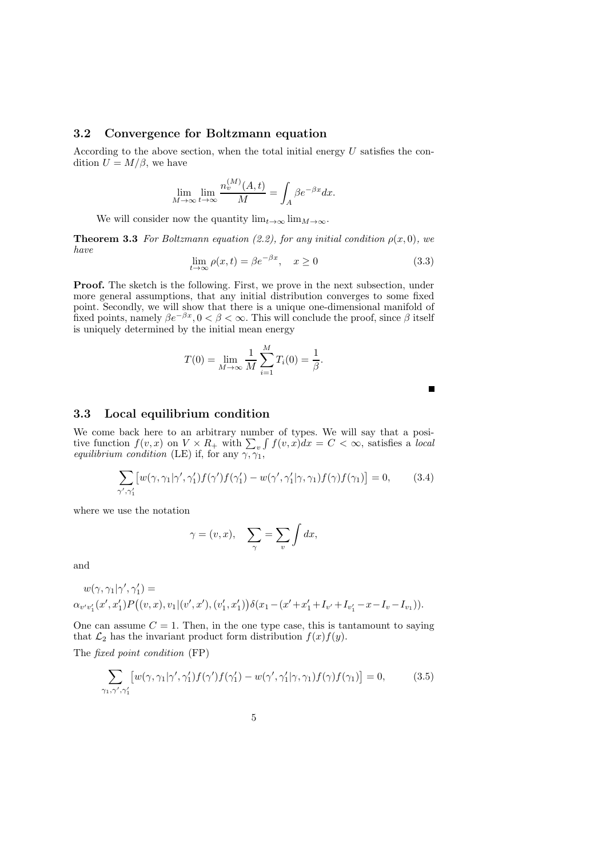#### 3.2 Convergence for Boltzmann equation

According to the above section, when the total initial energy  $U$  satisfies the condition  $U = M/\beta$ , we have

$$
\lim_{M \to \infty} \lim_{t \to \infty} \frac{n_v^{(M)}(A, t)}{M} = \int_A \beta e^{-\beta x} dx.
$$

We will consider now the quantity  $\lim_{t\to\infty} \lim_{M\to\infty}$ .

**Theorem 3.3** For Boltzmann equation (2.2), for any initial condition  $\rho(x, 0)$ , we have

$$
\lim_{t \to \infty} \rho(x, t) = \beta e^{-\beta x}, \quad x \ge 0
$$
\n(3.3)

Proof. The sketch is the following. First, we prove in the next subsection, under more general assumptions, that any initial distribution converges to some fixed point. Secondly, we will show that there is a unique one-dimensional manifold of fixed points, namely  $\beta e^{-\beta x}$ ,  $0 < \beta < \infty$ . This will conclude the proof, since  $\beta$  itself is uniquely determined by the initial mean energy

$$
T(0) = \lim_{M \to \infty} \frac{1}{M} \sum_{i=1}^{M} T_i(0) = \frac{1}{\beta}.
$$

П

#### 3.3 Local equilibrium condition

We come back here to an arbitrary number of types. We will say that a positive function  $f(v, x)$  on  $V \times R_+$  with  $\sum_v \int f(v, x) dx = C < \infty$ , satisfies a local equilibrium condition (LE) if, for any  $\gamma$ ,  $\gamma_1$ ,

$$
\sum_{\gamma',\gamma_1'} \left[ w(\gamma,\gamma_1|\gamma',\gamma_1') f(\gamma') f(\gamma_1') - w(\gamma',\gamma_1'|\gamma,\gamma_1) f(\gamma) f(\gamma_1) \right] = 0, \qquad (3.4)
$$

where we use the notation

$$
\gamma = (v, x), \quad \sum_{\gamma} = \sum_{v} \int dx,
$$

and

$$
\begin{aligned} w(\gamma,\gamma_1|\gamma',\gamma_1') &= \\ \alpha_{v'v_1'}(x',x_1')P\big((v,x),v_1|(v',x'),(v_1',x_1')\big)\delta(x_1-(x'+x_1'+I_{v'}+I_{v_1'}-x-I_v-I_{v_1})). \end{aligned}
$$

One can assume  $C = 1$ . Then, in the one type case, this is tantamount to saying that  $\mathcal{L}_2$  has the invariant product form distribution  $f(x)f(y)$ .

The fixed point condition (FP)

$$
\sum_{\gamma_1,\gamma',\gamma_1'} \left[ w(\gamma,\gamma_1|\gamma',\gamma_1')f(\gamma')f(\gamma_1') - w(\gamma',\gamma_1'|\gamma,\gamma_1)f(\gamma)f(\gamma_1) \right] = 0,\tag{3.5}
$$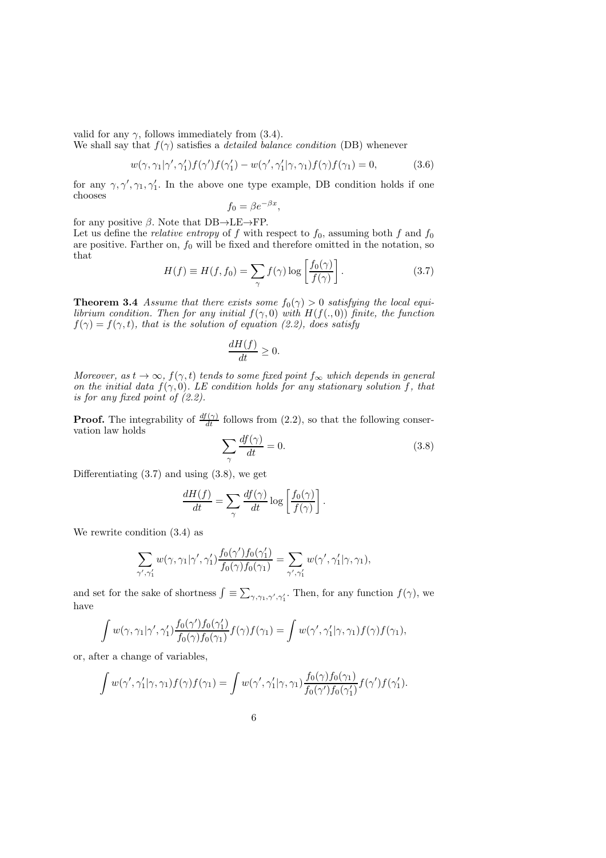valid for any  $\gamma$ , follows immediately from (3.4).

We shall say that  $f(\gamma)$  satisfies a *detailed balance condition* (DB) whenever

$$
w(\gamma, \gamma_1 | \gamma', \gamma_1') f(\gamma') f(\gamma_1') - w(\gamma', \gamma_1' | \gamma, \gamma_1) f(\gamma) f(\gamma_1) = 0, \qquad (3.6)
$$

for any  $\gamma, \gamma', \gamma_1, \gamma'_1$ . In the above one type example, DB condition holds if one chooses

$$
f_0 = \beta e^{-\beta x},
$$

for any positive  $\beta$ . Note that DB $\rightarrow$ LE $\rightarrow$ FP.

Let us define the *relative entropy* of f with respect to  $f_0$ , assuming both f and  $f_0$ are positive. Farther on,  $f_0$  will be fixed and therefore omitted in the notation, so that

$$
H(f) \equiv H(f, f_0) = \sum_{\gamma} f(\gamma) \log \left[ \frac{f_0(\gamma)}{f(\gamma)} \right]. \tag{3.7}
$$

**Theorem 3.4** Assume that there exists some  $f_0(\gamma) > 0$  satisfying the local equilibrium condition. Then for any initial  $f(\gamma, 0)$  with  $H(f(., 0))$  finite, the function  $f(\gamma) = f(\gamma, t)$ , that is the solution of equation (2.2), does satisfy

$$
\frac{dH(f)}{dt} \ge 0.
$$

Moreover, as  $t \to \infty$ ,  $f(\gamma, t)$  tends to some fixed point  $f_{\infty}$  which depends in general on the initial data  $f(\gamma, 0)$ . LE condition holds for any stationary solution f, that is for any fixed point of (2.2).

**Proof.** The integrability of  $\frac{df(\gamma)}{dt}$  follows from (2.2), so that the following conservation law holds

$$
\sum_{\gamma} \frac{df(\gamma)}{dt} = 0. \tag{3.8}
$$

.

Differentiating  $(3.7)$  and using  $(3.8)$ , we get

$$
\frac{dH(f)}{dt} = \sum_{\gamma} \frac{df(\gamma)}{dt} \log \left[ \frac{f_0(\gamma)}{f(\gamma)} \right]
$$

We rewrite condition (3.4) as

$$
\sum_{\gamma',\gamma_1'} w(\gamma,\gamma_1|\gamma',\gamma_1') \frac{f_0(\gamma')f_0(\gamma_1')}{f_0(\gamma)f_0(\gamma_1)} = \sum_{\gamma',\gamma_1'} w(\gamma',\gamma_1'|\gamma,\gamma_1),
$$

and set for the sake of shortness  $\int \equiv \sum_{\gamma,\gamma_1,\gamma',\gamma'_1}$ . Then, for any function  $f(\gamma)$ , we have

$$
\int w(\gamma, \gamma_1 | \gamma', \gamma'_1) \frac{f_0(\gamma') f_0(\gamma'_1)}{f_0(\gamma) f_0(\gamma_1)} f(\gamma) f(\gamma_1) = \int w(\gamma', \gamma'_1 | \gamma, \gamma_1) f(\gamma) f(\gamma_1),
$$

or, after a change of variables,

$$
\int w(\gamma', \gamma_1' | \gamma, \gamma_1) f(\gamma) f(\gamma_1) = \int w(\gamma', \gamma_1' | \gamma, \gamma_1) \frac{f_0(\gamma) f_0(\gamma_1)}{f_0(\gamma') f_0(\gamma_1')} f(\gamma') f(\gamma_1').
$$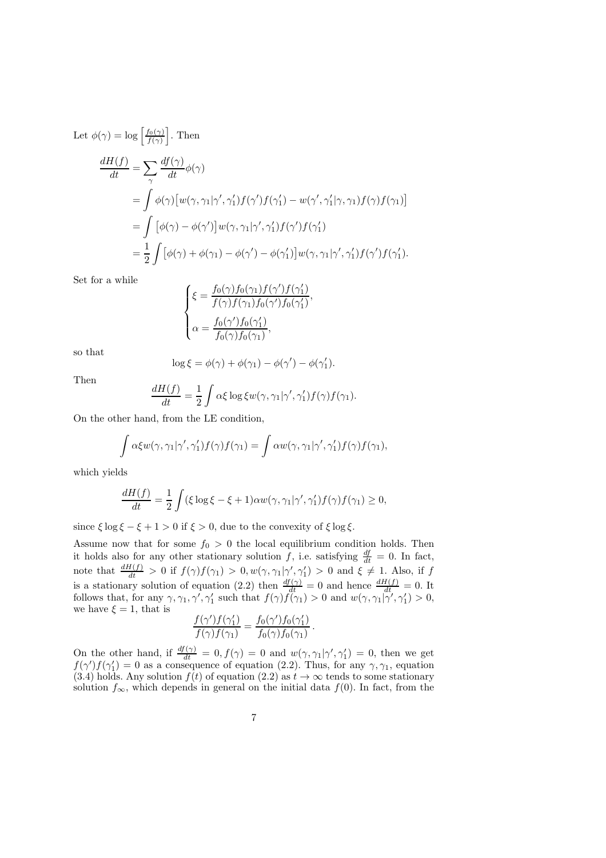Let  $\phi(\gamma) = \log \left[ \frac{f_0(\gamma)}{f(\gamma)} \right]$  $\frac{f_0(\gamma)}{f(\gamma)}$ . Then

$$
\frac{dH(f)}{dt} = \sum_{\gamma} \frac{df(\gamma)}{dt} \phi(\gamma)
$$
  
=  $\int \phi(\gamma) [w(\gamma, \gamma_1 | \gamma', \gamma'_1) f(\gamma') f(\gamma'_1) - w(\gamma', \gamma'_1 | \gamma, \gamma_1) f(\gamma) f(\gamma_1)]$   
=  $\int [\phi(\gamma) - \phi(\gamma')] w(\gamma, \gamma_1 | \gamma', \gamma'_1) f(\gamma') f(\gamma'_1)$   
=  $\frac{1}{2} \int [\phi(\gamma) + \phi(\gamma_1) - \phi(\gamma') - \phi(\gamma'_1)] w(\gamma, \gamma_1 | \gamma', \gamma'_1) f(\gamma') f(\gamma'_1).$ 

Set for a while

$$
\begin{cases} \xi = \frac{f_0(\gamma) f_0(\gamma_1) f(\gamma') f(\gamma'_1)}{f(\gamma) f(\gamma_1) f_0(\gamma') f_0(\gamma'_1)}, \\ \alpha = \frac{f_0(\gamma') f_0(\gamma'_1)}{f_0(\gamma) f_0(\gamma_1)}, \end{cases}
$$

so that

$$
\log \xi = \phi(\gamma) + \phi(\gamma_1) - \phi(\gamma') - \phi(\gamma'_1).
$$

Then

$$
\frac{dH(f)}{dt} = \frac{1}{2} \int \alpha \xi \log \xi w(\gamma, \gamma_1 | \gamma', \gamma_1') f(\gamma) f(\gamma_1).
$$

On the other hand, from the LE condition,

$$
\int \alpha \xi w(\gamma, \gamma_1 | \gamma', \gamma'_1) f(\gamma) f(\gamma_1) = \int \alpha w(\gamma, \gamma_1 | \gamma', \gamma'_1) f(\gamma) f(\gamma_1),
$$

which yields

$$
\frac{dH(f)}{dt} = \frac{1}{2} \int (\xi \log \xi - \xi + 1) \alpha w(\gamma, \gamma_1 | \gamma', \gamma_1') f(\gamma) f(\gamma_1) \ge 0,
$$

since  $\xi \log \xi - \xi + 1 > 0$  if  $\xi > 0$ , due to the convexity of  $\xi \log \xi$ .

Assume now that for some  $f_0 > 0$  the local equilibrium condition holds. Then it holds also for any other stationary solution f, i.e. satisfying  $\frac{df}{dt} = 0$ . In fact, note that  $\frac{dH(f)}{dt} > 0$  if  $f(\gamma)f(\gamma_1) > 0, w(\gamma, \gamma_1 | \gamma', \gamma'_1) > 0$  and  $\xi \neq 1$ . Also, if f is a stationary solution of equation (2.2) then  $\frac{df(\gamma)}{dt} = 0$  and hence  $\frac{dH(f)}{dt} = 0$ . It follows that, for any  $\gamma, \gamma_1, \gamma', \gamma'_1$  such that  $f(\gamma) f(\gamma_1) > 0$  and  $w(\gamma, \gamma_1 | \gamma', \gamma'_1) > 0$ , we have  $\xi = 1$ , that is

$$
\frac{f(\gamma')f(\gamma_1')}{f(\gamma)f(\gamma_1)} = \frac{f_0(\gamma')f_0(\gamma_1')}{f_0(\gamma)f_0(\gamma_1)}
$$

.

On the other hand, if  $\frac{df(\gamma)}{dt} = 0, f(\gamma) = 0$  and  $w(\gamma, \gamma_1 | \gamma', \gamma_1') = 0$ , then we get  $f(\gamma')f(\gamma_1')=0$  as a consequence of equation (2.2). Thus, for any  $\gamma, \gamma_1$ , equation (3.4) holds. Any solution  $f(t)$  of equation (2.2) as  $t \to \infty$  tends to some stationary solution  $f_{\infty}$ , which depends in general on the initial data  $f(0)$ . In fact, from the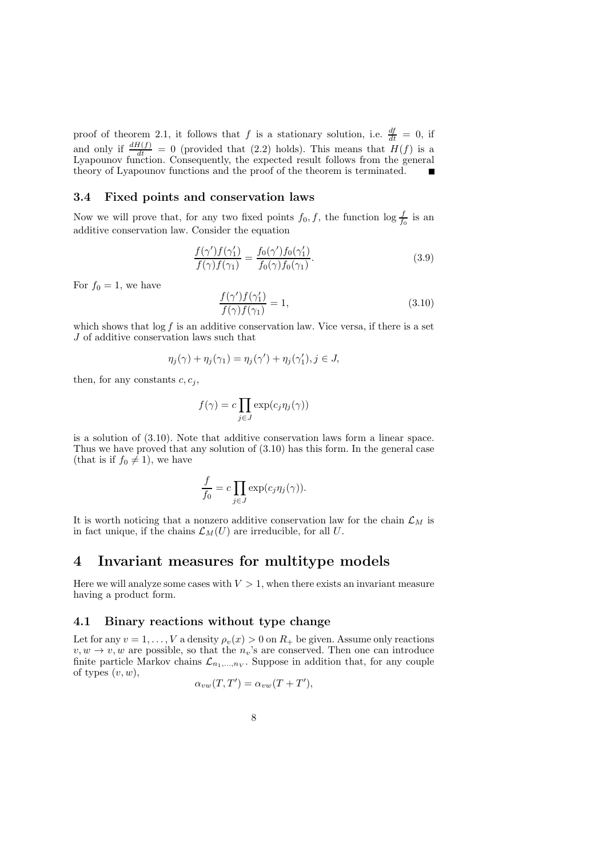proof of theorem 2.1, it follows that f is a stationary solution, i.e.  $\frac{df}{dt} = 0$ , if and only if  $\frac{dH(f)}{dt} = 0$  (provided that (2.2) holds). This means that  $H(f)$  is a Lyapounov function. Consequently, the expected result follows from the general theory of Lyapounov functions and the proof of the theorem is terminated.

#### 3.4 Fixed points and conservation laws

Now we will prove that, for any two fixed points  $f_0, f$ , the function  $\log \frac{f}{f_0}$  is an additive conservation law. Consider the equation

$$
\frac{f(\gamma')f(\gamma_1')}{f(\gamma)f(\gamma_1)} = \frac{f_0(\gamma')f_0(\gamma_1')}{f_0(\gamma)f_0(\gamma_1)}.
$$
\n(3.9)

For  $f_0 = 1$ , we have

$$
\frac{f(\gamma')f(\gamma_1')}{f(\gamma)f(\gamma_1)} = 1,
$$
\n(3.10)

which shows that  $\log f$  is an additive conservation law. Vice versa, if there is a set J of additive conservation laws such that

$$
\eta_j(\gamma) + \eta_j(\gamma_1) = \eta_j(\gamma') + \eta_j(\gamma_1'), j \in J,
$$

then, for any constants  $c, c_i$ ,

$$
f(\gamma) = c \prod_{j \in J} \exp(c_j \eta_j(\gamma))
$$

is a solution of (3.10). Note that additive conservation laws form a linear space. Thus we have proved that any solution of (3.10) has this form. In the general case (that is if  $f_0 \neq 1$ ), we have

$$
\frac{f}{f_0} = c \prod_{j \in J} \exp(c_j \eta_j(\gamma)).
$$

It is worth noticing that a nonzero additive conservation law for the chain  $\mathcal{L}_M$  is in fact unique, if the chains  $\mathcal{L}_M(U)$  are irreducible, for all U.

## 4 Invariant measures for multitype models

Here we will analyze some cases with  $V > 1$ , when there exists an invariant measure having a product form.

#### 4.1 Binary reactions without type change

Let for any  $v = 1, \ldots, V$  a density  $\rho_v(x) > 0$  on  $R_+$  be given. Assume only reactions  $v, w \rightarrow v, w$  are possible, so that the  $n_v$ 's are conserved. Then one can introduce finite particle Markov chains  $\mathcal{L}_{n_1,\dots,n_V}$ . Suppose in addition that, for any couple of types  $(v, w)$ ,

$$
\alpha_{vw}(T,T') = \alpha_{vw}(T+T'),
$$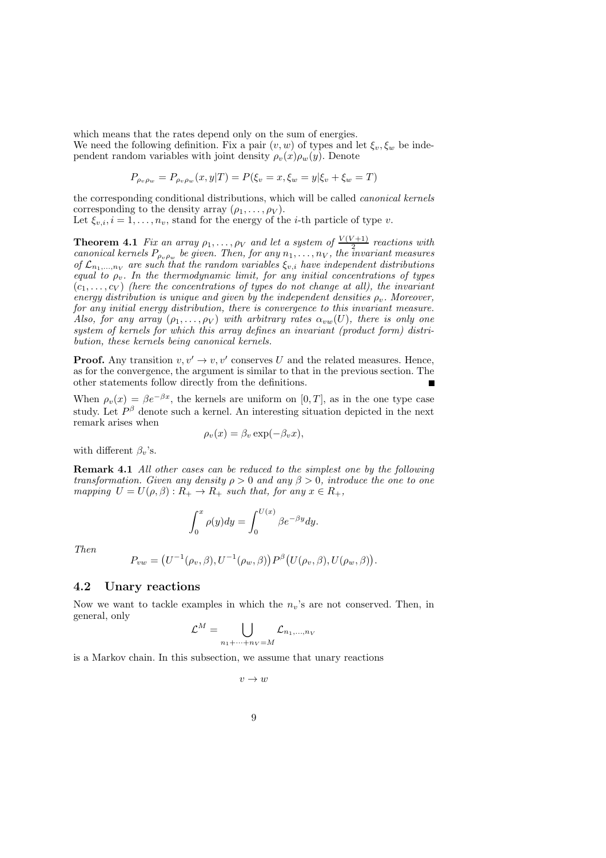which means that the rates depend only on the sum of energies. We need the following definition. Fix a pair  $(v, w)$  of types and let  $\xi_v, \xi_w$  be independent random variables with joint density  $\rho_v(x)\rho_w(y)$ . Denote

$$
P_{\rho_v \rho_w} = P_{\rho_v \rho_w}(x, y|T) = P(\xi_v = x, \xi_w = y | \xi_v + \xi_w = T)
$$

the corresponding conditional distributions, which will be called canonical kernels corresponding to the density array  $(\rho_1, \ldots, \rho_V)$ .

Let  $\xi_{v,i}$ ,  $i = 1, \ldots, n_v$ , stand for the energy of the *i*-th particle of type *v*.

**Theorem 4.1** Fix an array  $\rho_1, \ldots, \rho_V$  and let a system of  $\frac{V(V+1)}{2}$  reactions with canonical kernels  $P_{\rho_v \rho_w}$  be given. Then, for any  $n_1, \ldots, n_V$ , the invariant measures of  $\mathcal{L}_{n_1,...,n_V}$  are such that the random variables  $\xi_{v,i}$  have independent distributions equal to  $\rho_v$ . In the thermodynamic limit, for any initial concentrations of types  $(c_1, \ldots, c_V)$  (here the concentrations of types do not change at all), the invariant energy distribution is unique and given by the independent densities  $\rho_n$ . Moreover, for any initial energy distribution, there is convergence to this invariant measure. Also, for any array  $(\rho_1, \ldots, \rho_V)$  with arbitrary rates  $\alpha_{vw}(U)$ , there is only one system of kernels for which this array defines an invariant (product form) distribution, these kernels being canonical kernels.

**Proof.** Any transition  $v, v' \rightarrow v, v'$  conserves U and the related measures. Hence, as for the convergence, the argument is similar to that in the previous section. The other statements follow directly from the definitions.

When  $\rho_{v}(x) = \beta e^{-\beta x}$ , the kernels are uniform on [0, T], as in the one type case study. Let  $P^{\beta}$  denote such a kernel. An interesting situation depicted in the next remark arises when

$$
\rho_v(x) = \beta_v \exp(-\beta_v x),
$$

with different  $\beta_v$ 's.

Remark 4.1 All other cases can be reduced to the simplest one by the following transformation. Given any density  $\rho > 0$  and any  $\beta > 0$ , introduce the one to one mapping  $U = U(\rho, \beta) : R_+ \to R_+$  such that, for any  $x \in R_+$ ,

$$
\int_0^x \rho(y) dy = \int_0^{U(x)} \beta e^{-\beta y} dy.
$$

Then

$$
P_{vw} = (U^{-1}(\rho_v, \beta), U^{-1}(\rho_w, \beta)) P^{\beta}(U(\rho_v, \beta), U(\rho_w, \beta)).
$$

#### 4.2 Unary reactions

Now we want to tackle examples in which the  $n_v$ 's are not conserved. Then, in general, only

$$
\mathcal{L}^M = \bigcup_{n_1 + \dots + n_V = M} \mathcal{L}_{n_1, \dots, n_V}
$$

is a Markov chain. In this subsection, we assume that unary reactions

 $v \rightarrow w$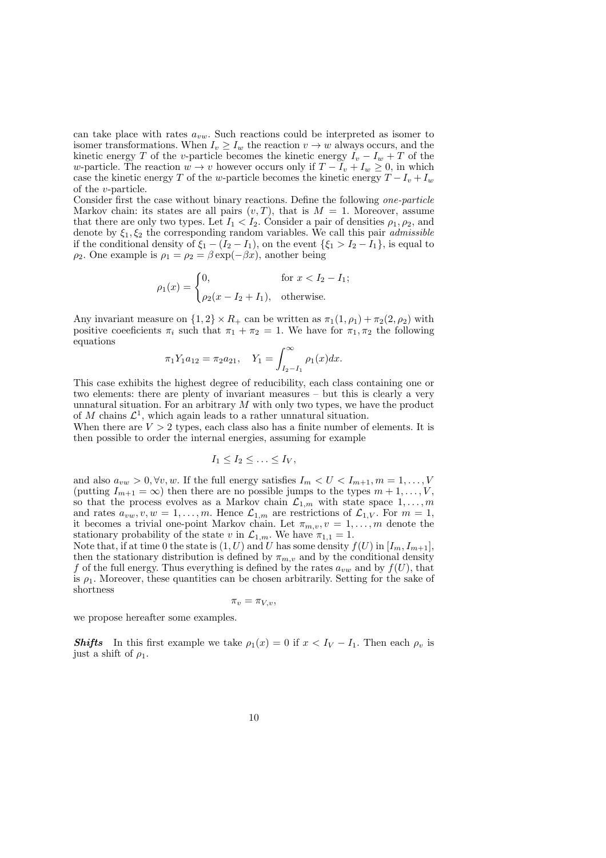can take place with rates  $a_{vw}$ . Such reactions could be interpreted as isomer to isomer transformations. When  $I_v \geq I_w$  the reaction  $v \to w$  always occurs, and the kinetic energy T of the v-particle becomes the kinetic energy  $I_v - I_w + T$  of the w-particle. The reaction  $w \to v$  however occurs only if  $T - I_v + I_w \geq 0$ , in which case the kinetic energy T of the w-particle becomes the kinetic energy  $T - I_v + I_w$ of the v-particle.

Consider first the case without binary reactions. Define the following one-particle Markov chain: its states are all pairs  $(v, T)$ , that is  $M = 1$ . Moreover, assume that there are only two types. Let  $I_1 < I_2$ . Consider a pair of densities  $\rho_1, \rho_2$ , and denote by  $\xi_1, \xi_2$  the corresponding random variables. We call this pair *admissible* if the conditional density of  $\xi_1 - (I_2 - I_1)$ , on the event  $\{\xi_1 > I_2 - I_1\}$ , is equal to  $\rho_2$ . One example is  $\rho_1 = \rho_2 = \beta \exp(-\beta x)$ , another being

$$
\rho_1(x) = \begin{cases} 0, & \text{for } x < I_2 - I_1; \\ \rho_2(x - I_2 + I_1), & \text{otherwise.} \end{cases}
$$

Any invariant measure on  $\{1,2\} \times R_+$  can be written as  $\pi_1(1,\rho_1) + \pi_2(2,\rho_2)$  with positive coefficients  $\pi_i$  such that  $\pi_1 + \pi_2 = 1$ . We have for  $\pi_1, \pi_2$  the following equations

$$
\pi_1 Y_1 a_{12} = \pi_2 a_{21}, \quad Y_1 = \int_{I_2 - I_1}^{\infty} \rho_1(x) dx.
$$

This case exhibits the highest degree of reducibility, each class containing one or two elements: there are plenty of invariant measures – but this is clearly a very unnatural situation. For an arbitrary  $M$  with only two types, we have the product of M chains  $\mathcal{L}^1$ , which again leads to a rather unnatural situation.

When there are  $V > 2$  types, each class also has a finite number of elements. It is then possible to order the internal energies, assuming for example

$$
I_1 \leq I_2 \leq \ldots \leq I_V,
$$

and also  $a_{vw} > 0$ ,  $\forall v, w$ . If the full energy satisfies  $I_m < U < I_{m+1}, m = 1, ..., V$ (putting  $I_{m+1} = \infty$ ) then there are no possible jumps to the types  $m + 1, \ldots, V$ , so that the process evolves as a Markov chain  $\mathcal{L}_{1,m}$  with state space  $1,\ldots,m$ and rates  $a_{vw}, v, w = 1, \ldots, m$ . Hence  $\mathcal{L}_{1,m}$  are restrictions of  $\mathcal{L}_{1,V}$ . For  $m = 1$ , it becomes a trivial one-point Markov chain. Let  $\pi_{m,v}, v = 1, \ldots, m$  denote the stationary probability of the state v in  $\mathcal{L}_{1,m}$ . We have  $\pi_{1,1} = 1$ .

Note that, if at time 0 the state is  $(1, U)$  and U has some density  $f(U)$  in  $[I_m, I_{m+1}],$ then the stationary distribution is defined by  $\pi_{m,v}$  and by the conditional density f of the full energy. Thus everything is defined by the rates  $a_{vw}$  and by  $f(U)$ , that is  $\rho_1$ . Moreover, these quantities can be chosen arbitrarily. Setting for the sake of shortness

$$
\pi_v = \pi_{V,v},
$$

we propose hereafter some examples.

**Shifts** In this first example we take  $\rho_1(x) = 0$  if  $x < I_V - I_1$ . Then each  $\rho_v$  is just a shift of  $\rho_1$ .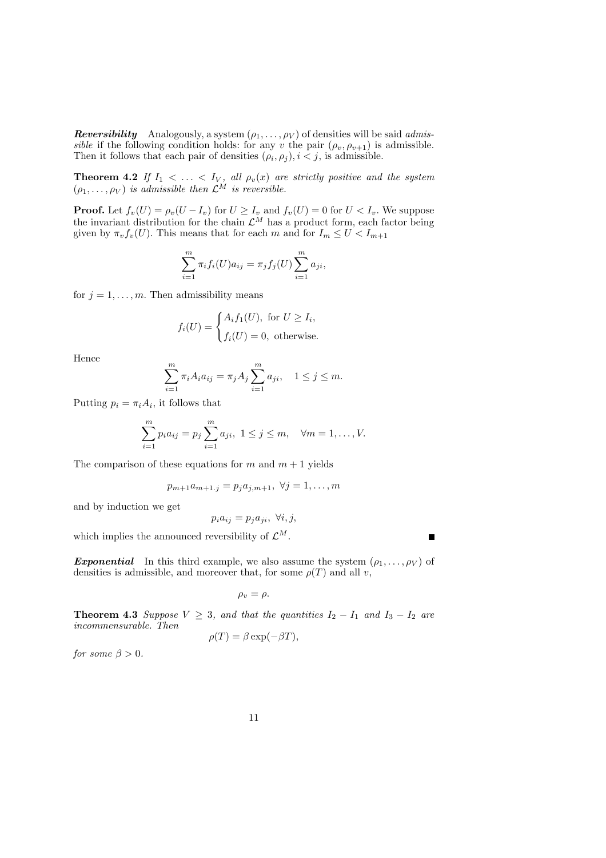**Reversibility** Analogously, a system  $(\rho_1, \ldots, \rho_V)$  of densities will be said *admis*sible if the following condition holds: for any v the pair  $(\rho_v, \rho_{v+1})$  is admissible. Then it follows that each pair of densities  $(\rho_i, \rho_j), i < j$ , is admissible.

**Theorem 4.2** If  $I_1 < \ldots < I_V$ , all  $\rho_v(x)$  are strictly positive and the system  $(\rho_1, \ldots, \rho_V)$  is admissible then  $\mathcal{L}^M$  is reversible.

**Proof.** Let  $f_v(U) = \rho_v(U - I_v)$  for  $U \ge I_v$  and  $f_v(U) = 0$  for  $U < I_v$ . We suppose the invariant distribution for the chain  $\mathcal{L}^M$  has a product form, each factor being given by  $\pi_v f_v(U)$ . This means that for each m and for  $I_m \leq U < I_{m+1}$ 

$$
\sum_{i=1}^{m} \pi_i f_i(U) a_{ij} = \pi_j f_j(U) \sum_{i=1}^{m} a_{ji},
$$

for  $j = 1, \ldots, m$ . Then admissibility means

$$
f_i(U) = \begin{cases} A_i f_1(U), \text{ for } U \ge I_i, \\ f_i(U) = 0, \text{ otherwise.} \end{cases}
$$

Hence

$$
\sum_{i=1}^{m} \pi_i A_i a_{ij} = \pi_j A_j \sum_{i=1}^{m} a_{ji}, \quad 1 \le j \le m.
$$

Putting  $p_i = \pi_i A_i$ , it follows that

$$
\sum_{i=1}^{m} p_i a_{ij} = p_j \sum_{i=1}^{m} a_{ji}, \ 1 \le j \le m, \quad \forall m = 1, \dots, V.
$$

The comparison of these equations for m and  $m + 1$  yields

$$
p_{m+1}a_{m+1,j} = p_j a_{j,m+1}, \ \forall j = 1, \dots, m
$$

and by induction we get

$$
p_i a_{ij} = p_j a_{ji}, \ \forall i, j,
$$

which implies the announced reversibility of  $\mathcal{L}^M$ .

**Exponential** In this third example, we also assume the system  $(\rho_1, \ldots, \rho_V)$  of densities is admissible, and moreover that, for some  $\rho(T)$  and all v,

$$
\rho_v = \rho.
$$

**Theorem 4.3** Suppose  $V \geq 3$ , and that the quantities  $I_2 - I_1$  and  $I_3 - I_2$  are incommensurable. Then

$$
\rho(T) = \beta \exp(-\beta T),
$$

for some  $\beta > 0$ .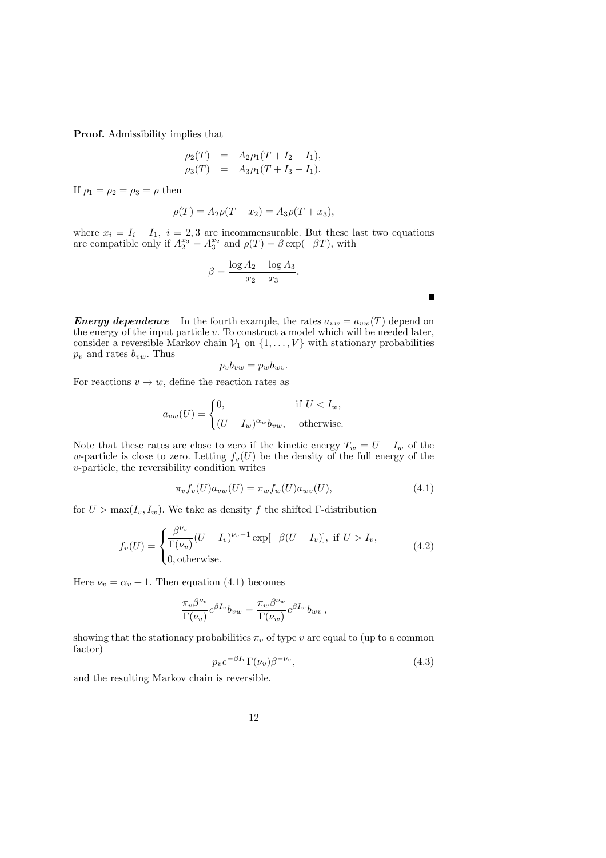Proof. Admissibility implies that

$$
\rho_2(T) = A_2 \rho_1 (T + I_2 - I_1), \n\rho_3(T) = A_3 \rho_1 (T + I_3 - I_1).
$$

If  $\rho_1 = \rho_2 = \rho_3 = \rho$  then

$$
\rho(T) = A_2 \rho(T + x_2) = A_3 \rho(T + x_3),
$$

where  $x_i = I_i - I_1$ ,  $i = 2, 3$  are incommensurable. But these last two equations are compatible only if  $A_2^{x_3} = A_3^{x_2}$  and  $\rho(T) = \beta \exp(-\beta T)$ , with

$$
\beta = \frac{\log A_2 - \log A_3}{x_2 - x_3}.
$$

 $\blacksquare$ 

**Energy dependence** In the fourth example, the rates  $a_{vw} = a_{vw}(T)$  depend on the energy of the input particle  $v$ . To construct a model which will be needed later, consider a reversible Markov chain  $V_1$  on  $\{1, \ldots, V\}$  with stationary probabilities  $p_v$  and rates  $b_{vw}$ . Thus

$$
p_v b_{vw} = p_w b_{wv}.
$$

For reactions  $v \to w$ , define the reaction rates as

$$
a_{vw}(U) = \begin{cases} 0, & \text{if } U < I_w, \\ (U - I_w)^{\alpha_w} b_{vw}, & \text{otherwise.} \end{cases}
$$

Note that these rates are close to zero if the kinetic energy  $T_w = U - I_w$  of the w-particle is close to zero. Letting  $f_v(U)$  be the density of the full energy of the v-particle, the reversibility condition writes

$$
\pi_v f_v(U) a_{vw}(U) = \pi_w f_w(U) a_{wv}(U), \qquad (4.1)
$$

for  $U > \max(I_v, I_w)$ . We take as density f the shifted Γ-distribution

$$
f_v(U) = \begin{cases} \frac{\beta^{\nu_v}}{\Gamma(\nu_v)} (U - I_v)^{\nu_v - 1} \exp[-\beta (U - I_v)], & \text{if } U > I_v, \\ 0, & \text{otherwise.} \end{cases}
$$
(4.2)

Here  $\nu_v = \alpha_v + 1$ . Then equation (4.1) becomes

$$
\frac{\pi_v\beta^{\nu_v}}{\Gamma(\nu_v)}e^{\beta I_v}b_{vw}=\frac{\pi_w\beta^{\nu_w}}{\Gamma(\nu_w)}e^{\beta I_w}b_{wv}\,,
$$

showing that the stationary probabilities  $\pi_v$  of type v are equal to (up to a common factor)

$$
p_v e^{-\beta I_v} \Gamma(\nu_v) \beta^{-\nu_v},\tag{4.3}
$$

and the resulting Markov chain is reversible.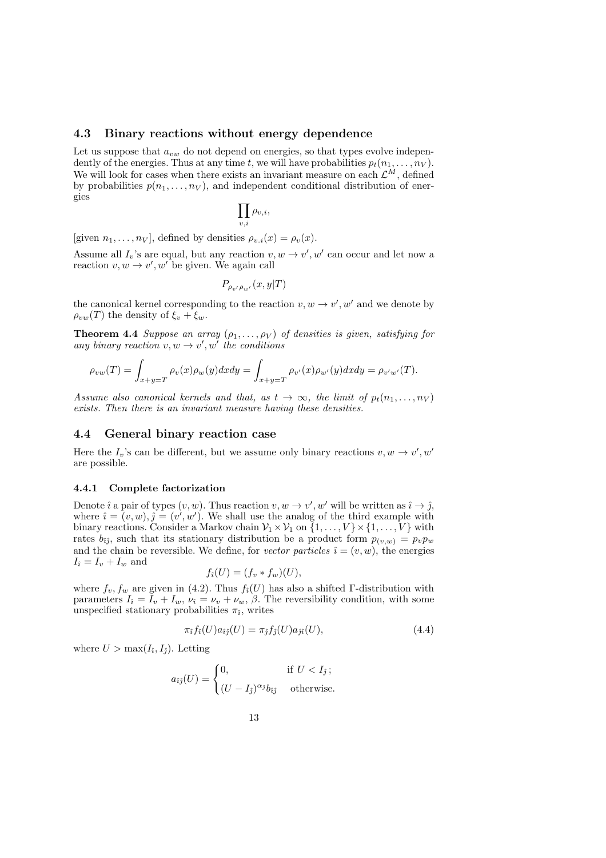#### 4.3 Binary reactions without energy dependence

Let us suppose that  $a_{vw}$  do not depend on energies, so that types evolve independently of the energies. Thus at any time t, we will have probabilities  $p_t(n_1, \ldots, n_V)$ . We will look for cases when there exists an invariant measure on each  $\mathcal{L}^M$ , defined by probabilities  $p(n_1, \ldots, n_V)$ , and independent conditional distribution of energies

$$
\prod_{v,i}\rho_{v,i},
$$

[given  $n_1, \ldots, n_V$ ], defined by densities  $\rho_{v,i}(x) = \rho_v(x)$ .

Assume all  $I_v$ 's are equal, but any reaction  $v, w \to v', w'$  can occur and let now a reaction  $v, w \to v', w'$  be given. We again call

$$
P_{\rho_{v'}\rho_{w'}}(x,y|T)
$$

the canonical kernel corresponding to the reaction  $v, w \rightarrow v', w'$  and we denote by  $\rho_{vw}(T)$  the density of  $\xi_v + \xi_w$ .

**Theorem 4.4** Suppose an array  $(\rho_1, \ldots, \rho_V)$  of densities is given, satisfying for any binary reaction  $v, w \rightarrow v', w'$  the conditions

$$
\rho_{vw}(T) = \int_{x+y=T} \rho_v(x)\rho_w(y)dxdy = \int_{x+y=T} \rho_{v'}(x)\rho_{w'}(y)dxdy = \rho_{v'w'}(T).
$$

Assume also canonical kernels and that, as  $t \to \infty$ , the limit of  $p_t(n_1, \ldots, n_V)$ exists. Then there is an invariant measure having these densities.

#### 4.4 General binary reaction case

Here the  $I_v$ 's can be different, but we assume only binary reactions  $v, w \to v', w'$ are possible.

#### 4.4.1 Complete factorization

Denote  $\hat{i}$  a pair of types  $(v, w)$ . Thus reaction  $v, w \to v', w'$  will be written as  $\hat{i} \to \hat{j}$ , where  $\hat{i} = (v, w), \hat{j} = (v', w')$ . We shall use the analog of the third example with binary reactions. Consider a Markov chain  $\mathcal{V}_1 \times \mathcal{V}_1$  on  $\{1, \ldots, V\} \times \{1, \ldots, V\}$  with rates  $b_{ij}$ , such that its stationary distribution be a product form  $p_{(v,w)} = p_v p_w$ and the chain be reversible. We define, for vector particles  $\hat{i} = (v, w)$ , the energies  $I_i = I_v + I_w$  and

$$
f_{\hat{\imath}}(U) = (f_v * f_w)(U),
$$

where  $f_v, f_w$  are given in (4.2). Thus  $f_i(U)$  has also a shifted Γ-distribution with parameters  $I_{\hat{i}} = I_v + I_w$ ,  $\nu_{\hat{i}} = \nu_v + \nu_w$ ,  $\beta$ . The reversibility condition, with some unspecified stationary probabilities  $\pi_i$ , writes

$$
\pi_{\hat{i}} f_{\hat{i}}(U) a_{\hat{i}\hat{j}}(U) = \pi_{\hat{j}} f_{\hat{j}}(U) a_{\hat{j}\hat{i}}(U), \qquad (4.4)
$$

where  $U > \max(I_i, I_j)$ . Letting

$$
a_{\hat{i}\hat{j}}(U) = \begin{cases} 0, & \text{if } U < I_{\hat{j}}; \\ (U - I_{\hat{j}})^{\alpha_{\hat{j}}} b_{\hat{i}\hat{j}} & \text{otherwise.} \end{cases}
$$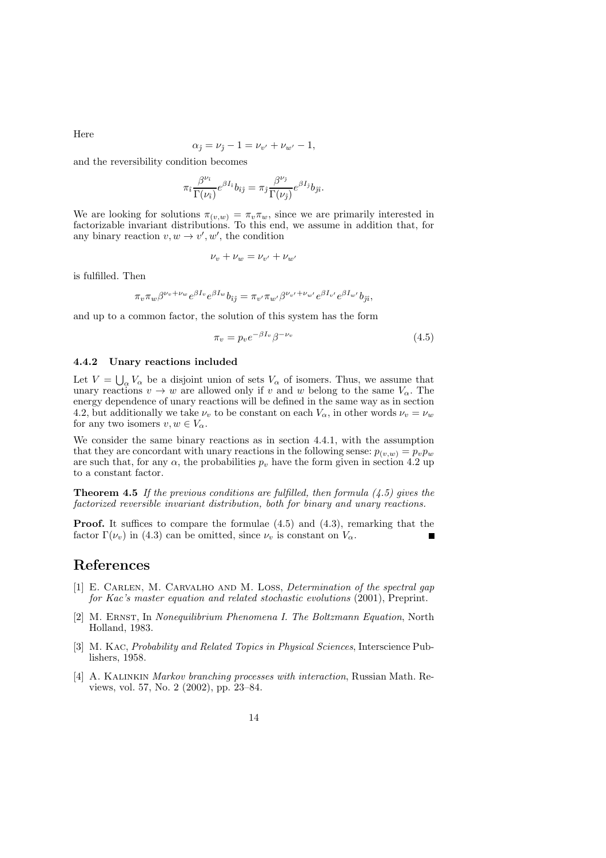Here

$$
\alpha_{\hat{\jmath}} = \nu_{\hat{\jmath}} - 1 = \nu_{v'} + \nu_{w'} - 1,
$$

and the reversibility condition becomes

$$
\pi_i \frac{\beta^{\nu_i}}{\Gamma(\nu_i)} e^{\beta I_i} b_{\hat{i}\hat{j}} = \pi_j \frac{\beta^{\nu_j}}{\Gamma(\nu_j)} e^{\beta I_{\hat{j}}} b_{\hat{j}\hat{i}}.
$$

We are looking for solutions  $\pi_{(v,w)} = \pi_v \pi_w$ , since we are primarily interested in factorizable invariant distributions. To this end, we assume in addition that, for any binary reaction  $v, w \rightarrow v', w'$ , the condition

$$
\nu_v + \nu_w = \nu_{v'} + \nu_{w'}
$$

is fulfilled. Then

$$
\pi_v \pi_w \beta^{\nu_v + \nu_w} e^{\beta I_v} e^{\beta I_w} b_{\hat{i}\hat{j}} = \pi_{v'} \pi_{w'} \beta^{\nu_{v'} + \nu_{w'}} e^{\beta I_{v'}} e^{\beta I_{w'}} b_{\hat{j}\hat{i}},
$$

and up to a common factor, the solution of this system has the form

$$
\pi_v = p_v e^{-\beta I_v} \beta^{-\nu_v} \tag{4.5}
$$

#### 4.4.2 Unary reactions included

Let  $V = \bigcup_{\alpha} V_{\alpha}$  be a disjoint union of sets  $V_{\alpha}$  of isomers. Thus, we assume that unary reactions  $v \to w$  are allowed only if v and w belong to the same  $V_{\alpha}$ . The energy dependence of unary reactions will be defined in the same way as in section 4.2, but additionally we take  $\nu_v$  to be constant on each  $V_\alpha$ , in other words  $\nu_v = \nu_w$ for any two isomers  $v, w \in V_\alpha$ .

We consider the same binary reactions as in section  $4.4.1$ , with the assumption that they are concordant with unary reactions in the following sense:  $p_{(v,w)} = p_v p_w$ are such that, for any  $\alpha$ , the probabilities  $p_v$  have the form given in section 4.2 up to a constant factor.

**Theorem 4.5** If the previous conditions are fulfilled, then formula  $(4.5)$  gives the factorized reversible invariant distribution, both for binary and unary reactions.

Proof. It suffices to compare the formulae (4.5) and (4.3), remarking that the factor  $\Gamma(\nu_v)$  in (4.3) can be omitted, since  $\nu_v$  is constant on  $V_\alpha$ .

## References

- [1] E. CARLEN, M. CARVALHO AND M. LOSS, *Determination of the spectral gap* for Kac's master equation and related stochastic evolutions (2001), Preprint.
- [2] M. Ernst, In Nonequilibrium Phenomena I. The Boltzmann Equation, North Holland, 1983.
- [3] M. Kac, Probability and Related Topics in Physical Sciences, Interscience Publishers, 1958.
- [4] A. Kalinkin Markov branching processes with interaction, Russian Math. Reviews, vol. 57, No. 2 (2002), pp. 23–84.